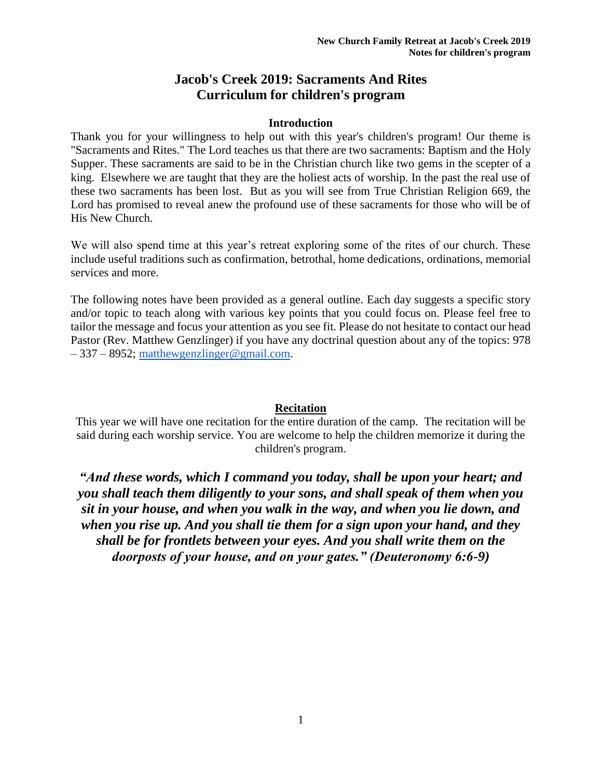# **Jacob's Creek 2019: Sacraments And Rites Curriculum for children's program**

#### **Introduction**

Thank you for your willingness to help out with this year's children's program! Our theme is "Sacraments and Rites." The Lord teaches us that there are two sacraments: Baptism and the Holy Supper. These sacraments are said to be in the Christian church like two gems in the scepter of a king. Elsewhere we are taught that they are the holiest acts of worship. In the past the real use of these two sacraments has been lost. But as you will see from True Christian Religion 669, the Lord has promised to reveal anew the profound use of these sacraments for those who will be of His New Church.

We will also spend time at this year's retreat exploring some of the rites of our church. These include useful traditions such as confirmation, betrothal, home dedications, ordinations, memorial services and more.

The following notes have been provided as a general outline. Each day suggests a specific story and/or topic to teach along with various key points that you could focus on. Please feel free to tailor the message and focus your attention as you see fit. Please do not hesitate to contact our head Pastor (Rev. Matthew Genzlinger) if you have any doctrinal question about any of the topics: 978 – 337 – 8952; [matthewgenzlinger@gmail.com.](mailto:matthewgenzlinger@gmail.com)

## **Recitation**

This year we will have one recitation for the entire duration of the camp. The recitation will be said during each worship service. You are welcome to help the children memorize it during the children's program.

*"And these words, which I command you today, shall be upon your heart; and you shall teach them diligently to your sons, and shall speak of them when you sit in your house, and when you walk in the way, and when you lie down, and when you rise up. And you shall tie them for a sign upon your hand, and they shall be for frontlets between your eyes. And you shall write them on the doorposts of your house, and on your gates." (Deuteronomy 6:6-9)*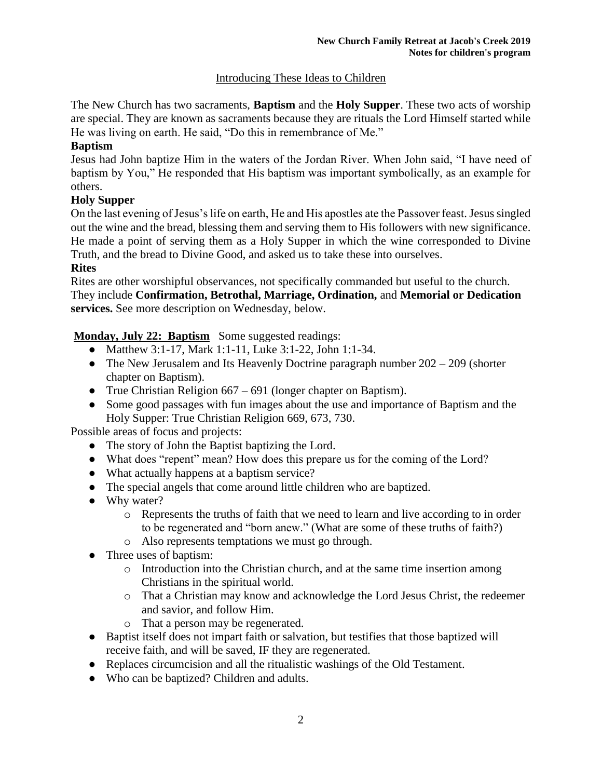# Introducing These Ideas to Children

The New Church has two sacraments, **Baptism** and the **Holy Supper**. These two acts of worship are special. They are known as sacraments because they are rituals the Lord Himself started while He was living on earth. He said, "Do this in remembrance of Me."

#### **Baptism**

Jesus had John baptize Him in the waters of the Jordan River. When John said, "I have need of baptism by You," He responded that His baptism was important symbolically, as an example for others.

## **Holy Supper**

On the last evening of Jesus's life on earth, He and His apostles ate the Passover feast. Jesus singled out the wine and the bread, blessing them and serving them to His followers with new significance. He made a point of serving them as a Holy Supper in which the wine corresponded to Divine Truth, and the bread to Divine Good, and asked us to take these into ourselves.

#### **Rites**

Rites are other worshipful observances, not specifically commanded but useful to the church. They include **Confirmation, Betrothal, Marriage, Ordination,** and **Memorial or Dedication services.** See more description on Wednesday, below.

## **Monday, July 22: Baptism** Some suggested readings:

- Matthew 3:1-17, Mark 1:1-11, Luke 3:1-22, John 1:1-34.
- The New Jerusalem and Its Heavenly Doctrine paragraph number  $202 209$  (shorter chapter on Baptism).
- True Christian Religion 667 691 (longer chapter on Baptism).
- Some good passages with fun images about the use and importance of Baptism and the Holy Supper: True Christian Religion 669, 673, 730.

Possible areas of focus and projects:

- The story of John the Baptist baptizing the Lord.
- What does "repent" mean? How does this prepare us for the coming of the Lord?
- What actually happens at a baptism service?
- The special angels that come around little children who are baptized.
- Why water?
	- o Represents the truths of faith that we need to learn and live according to in order to be regenerated and "born anew." (What are some of these truths of faith?)
	- o Also represents temptations we must go through.
- Three uses of baptism:
	- $\circ$  Introduction into the Christian church, and at the same time insertion among Christians in the spiritual world.
	- o That a Christian may know and acknowledge the Lord Jesus Christ, the redeemer and savior, and follow Him.
	- o That a person may be regenerated.
- Baptist itself does not impart faith or salvation, but testifies that those baptized will receive faith, and will be saved, IF they are regenerated.
- Replaces circumcision and all the ritualistic washings of the Old Testament.
- Who can be baptized? Children and adults.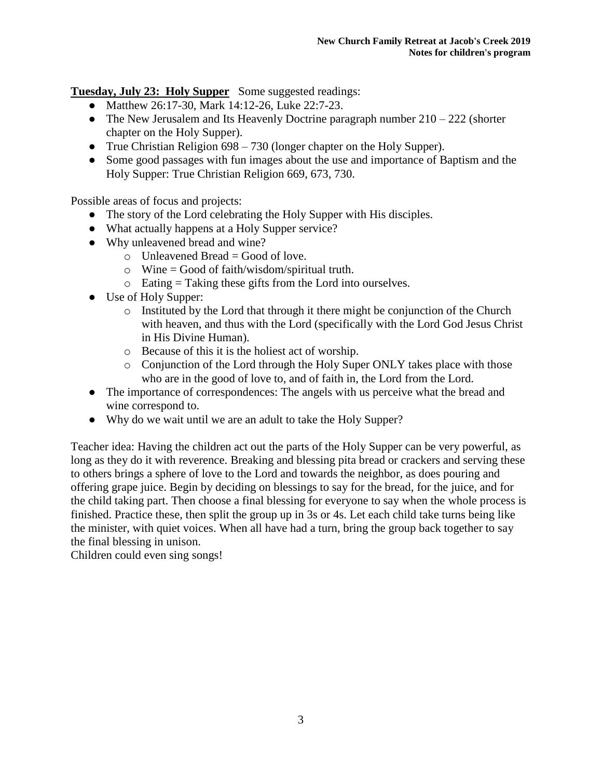**Tuesday, July 23: Holy Supper** Some suggested readings:

- Matthew 26:17-30, Mark 14:12-26, Luke 22:7-23.
- The New Jerusalem and Its Heavenly Doctrine paragraph number  $210 222$  (shorter chapter on the Holy Supper).
- True Christian Religion 698 730 (longer chapter on the Holy Supper).
- Some good passages with fun images about the use and importance of Baptism and the Holy Supper: True Christian Religion 669, 673, 730.

Possible areas of focus and projects:

- The story of the Lord celebrating the Holy Supper with His disciples.
- What actually happens at a Holy Supper service?
- Why unleavened bread and wine?
	- $\circ$  Unleavened Bread = Good of love.
	- $\circ$  Wine = Good of faith/wisdom/spiritual truth.
	- $\circ$  Eating = Taking these gifts from the Lord into ourselves.
- Use of Holy Supper:
	- $\circ$  Instituted by the Lord that through it there might be conjunction of the Church with heaven, and thus with the Lord (specifically with the Lord God Jesus Christ in His Divine Human).
	- o Because of this it is the holiest act of worship.
	- o Conjunction of the Lord through the Holy Super ONLY takes place with those who are in the good of love to, and of faith in, the Lord from the Lord.
- The importance of correspondences: The angels with us perceive what the bread and wine correspond to.
- Why do we wait until we are an adult to take the Holy Supper?

Teacher idea: Having the children act out the parts of the Holy Supper can be very powerful, as long as they do it with reverence. Breaking and blessing pita bread or crackers and serving these to others brings a sphere of love to the Lord and towards the neighbor, as does pouring and offering grape juice. Begin by deciding on blessings to say for the bread, for the juice, and for the child taking part. Then choose a final blessing for everyone to say when the whole process is finished. Practice these, then split the group up in 3s or 4s. Let each child take turns being like the minister, with quiet voices. When all have had a turn, bring the group back together to say the final blessing in unison.

Children could even sing songs!